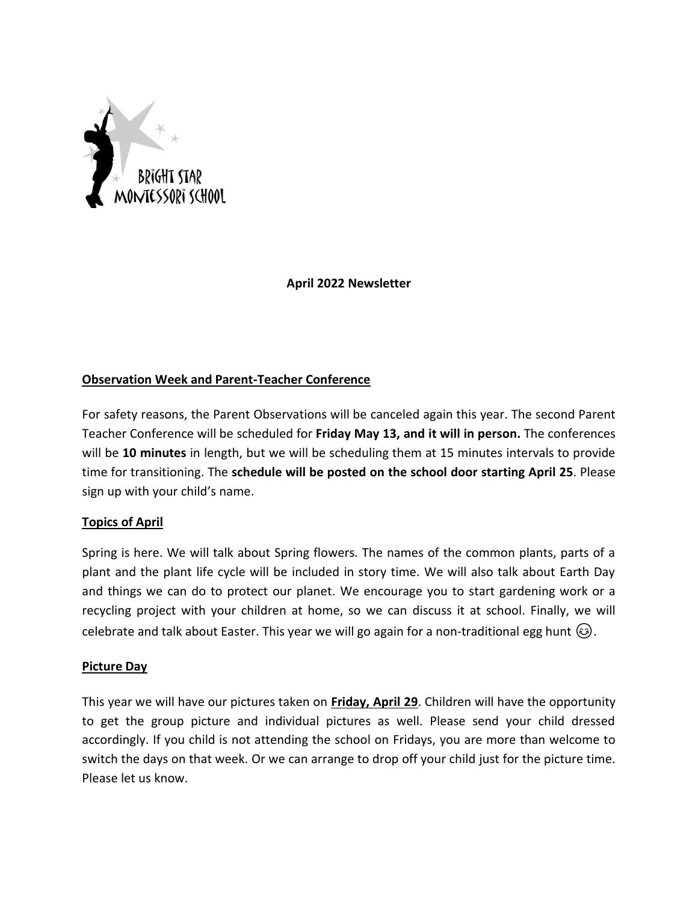

## **April 2022 Newsletter**

# **Observation Week and Parent-Teacher Conference**

For safety reasons, the Parent Observations will be canceled again this year. The second Parent Teacher Conference will be scheduled for **Friday May 13, and it will in person.** The conferences will be **10 minutes** in length, but we will be scheduling them at 15 minutes intervals to provide time for transitioning. The **schedule will be posted on the school door starting April 25**. Please sign up with your child's name.

#### **Topics of April**

Spring is here. We will talk about Spring flowers. The names of the common plants, parts of a plant and the plant life cycle will be included in story time. We will also talk about Earth Day and things we can do to protect our planet. We encourage you to start gardening work or a recycling project with your children at home, so we can discuss it at school. Finally, we will celebrate and talk about Easter. This year we will go again for a non-traditional egg hunt  $\circled{e}$ .

#### **Picture Day**

This year we will have our pictures taken on **Friday, April 29**. Children will have the opportunity to get the group picture and individual pictures as well. Please send your child dressed accordingly. If you child is not attending the school on Fridays, you are more than welcome to switch the days on that week. Or we can arrange to drop off your child just for the picture time. Please let us know.